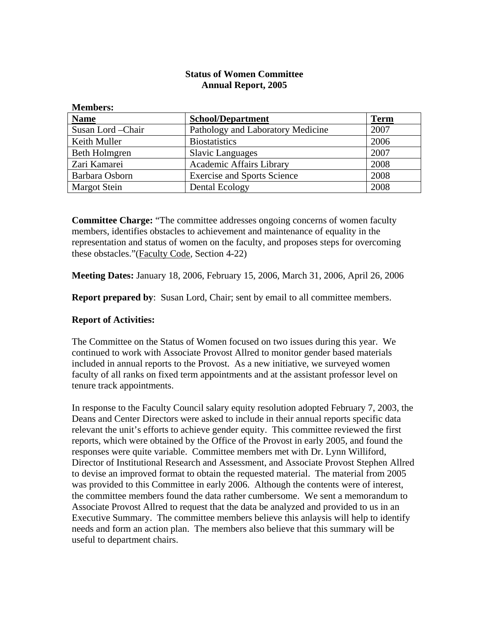## **Status of Women Committee Annual Report, 2005**

| <b>Members:</b>     |                                    |             |
|---------------------|------------------------------------|-------------|
| <b>Name</b>         | <b>School/Department</b>           | <b>Term</b> |
| Susan Lord - Chair  | Pathology and Laboratory Medicine  | 2007        |
| Keith Muller        | <b>Biostatistics</b>               | 2006        |
| Beth Holmgren       | <b>Slavic Languages</b>            | 2007        |
| Zari Kamarei        | <b>Academic Affairs Library</b>    | 2008        |
| Barbara Osborn      | <b>Exercise and Sports Science</b> | 2008        |
| <b>Margot Stein</b> | Dental Ecology                     | 2008        |

**Committee Charge:** "The committee addresses ongoing concerns of women faculty members, identifies obstacles to achievement and maintenance of equality in the representation and status of women on the faculty, and proposes steps for overcoming these obstacles."(Faculty Code, Section 4-22)

**Meeting Dates:** January 18, 2006, February 15, 2006, March 31, 2006, April 26, 2006

**Report prepared by**: Susan Lord, Chair; sent by email to all committee members.

## **Report of Activities:**

The Committee on the Status of Women focused on two issues during this year. We continued to work with Associate Provost Allred to monitor gender based materials included in annual reports to the Provost. As a new initiative, we surveyed women faculty of all ranks on fixed term appointments and at the assistant professor level on tenure track appointments.

In response to the Faculty Council salary equity resolution adopted February 7, 2003, the Deans and Center Directors were asked to include in their annual reports specific data relevant the unit's efforts to achieve gender equity. This committee reviewed the first reports, which were obtained by the Office of the Provost in early 2005, and found the responses were quite variable. Committee members met with Dr. Lynn Williford, Director of Institutional Research and Assessment, and Associate Provost Stephen Allred to devise an improved format to obtain the requested material. The material from 2005 was provided to this Committee in early 2006. Although the contents were of interest, the committee members found the data rather cumbersome. We sent a memorandum to Associate Provost Allred to request that the data be analyzed and provided to us in an Executive Summary. The committee members believe this anlaysis will help to identify needs and form an action plan. The members also believe that this summary will be useful to department chairs.